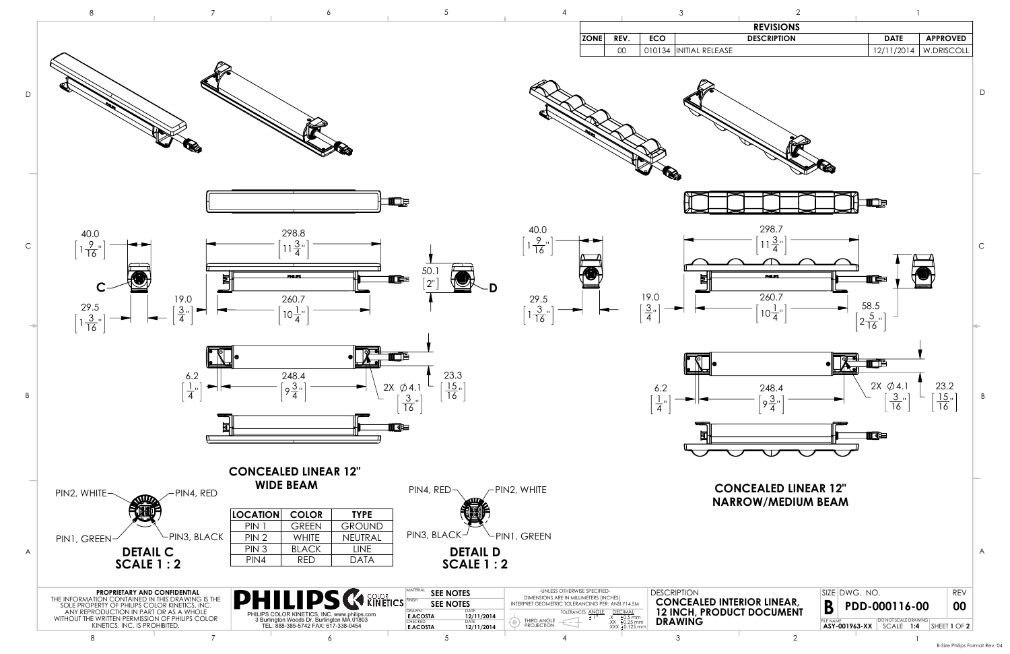